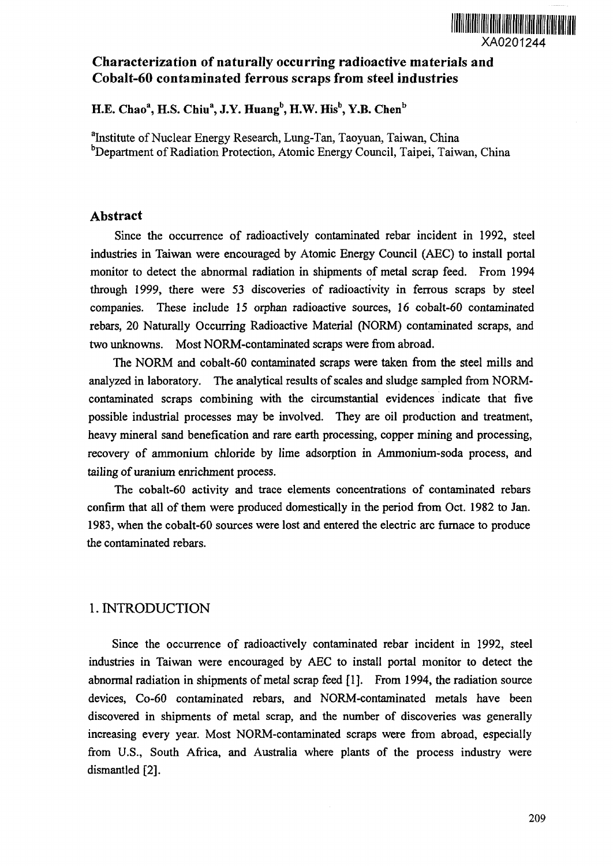

## Characterization of naturally occurring radioactive materials and Cobalt-60 contaminated ferrous scraps from steel industries

## **H.E. Chao<sup>a</sup> , H.S. Chiu<sup>a</sup> , J.Y. Huang", H.W. His<sup>b</sup> , Y.B. Chen<sup>b</sup>**

<sup>a</sup>Institute of Nuclear Energy Research, Lung-Tan, Taoyuan, Taiwan, China <sup>b</sup>Department of Radiation Protection, Atomic Energy Council, Taipei, Taiwan, China

#### Abstract

Since the occurrence of radioactively contaminated rebar incident in 1992, steel industries in Taiwan were encouraged by Atomic Energy Council (AEC) to install portal monitor to detect the abnormal radiation in shipments of metal scrap feed. From 1994 through 1999, there were 53 discoveries of radioactivity in ferrous scraps by steel companies. These include *15* orphan radioactive sources, 16 cobalt-60 contaminated rebars, 20 Naturally Occurring Radioactive Material (NORM) contaminated scraps, and two unknowns. Most NORM-contaminated scraps were from abroad.

The NORM and cobalt-60 contaminated scraps were taken from the steel mills and analyzed in laboratory. The analytical results of scales and sludge sampled from NORMcontaminated scraps combining with the circumstantial evidences indicate that five possible industrial processes may be involved. They are oil production and treatment, heavy mineral sand benefication and rare earth processing, copper mining and processing, recovery of ammonium chloride by lime adsorption in Ammonium-soda process, and tailing of uranium enrichment process.

The cobalt-60 activity and trace elements concentrations of contaminated rebars confirm that all of them were produced domestically in the period from Oct. 1982 to Jan. 1983, when the cobalt-60 sources were lost and entered the electric arc furnace to produce the contaminated rebars.

## 1. INTRODUCTION

Since the occurrence of radioactively contaminated rebar incident in 1992, steel industries in Taiwan were encouraged by AEC to install portal monitor to detect the abnormal radiation in shipments of metal scrap feed [1]. From 1994, the radiation source devices, Co-60 contaminated rebars, and NORM-contaminated metals have been discovered in shipments of metal scrap, and the number of discoveries was generally increasing every year. Most NORM-contaminated scraps were from abroad, especially from U.S., South Africa, and Australia where plants of the process industry were dismantled [2].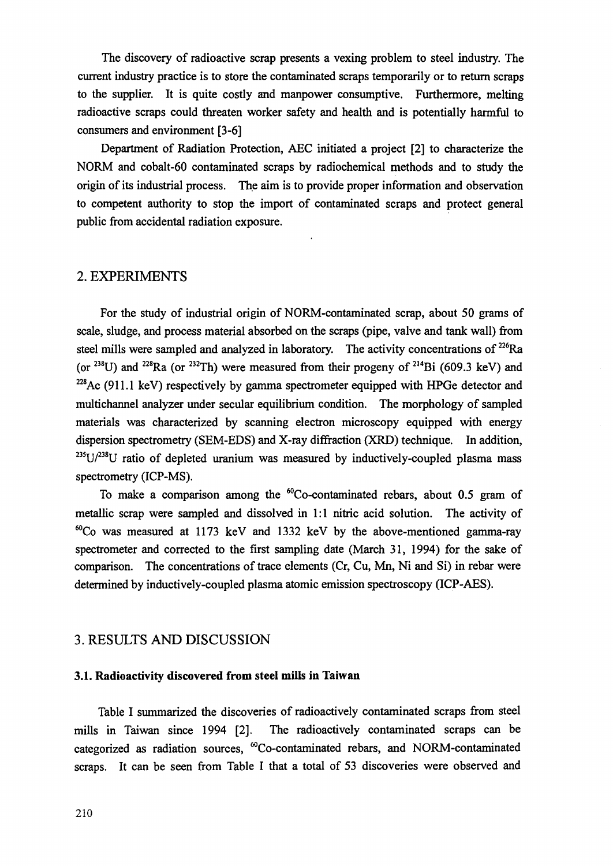The discovery of radioactive scrap presents a vexing problem to steel industry. The current industry practice is to store the contaminated scraps temporarily or to return scraps to the supplier. It is quite costly and manpower consumptive. Furthermore, melting radioactive scraps could threaten worker safety and health and is potentially harmful to consumers and environment [3-6]

Department of Radiation Protection, AEC initiated a project [2] to characterize the NORM and cobalt-60 contaminated scraps by radiochemical methods and to study the origin of its industrial process. The aim is to provide proper information and observation to competent authority to stop the import of contaminated scraps and protect general public from accidental radiation exposure.

#### 2. EXPERIMENTS

For the study of industrial origin of NORM-contaminated scrap, about 50 grams of scale, sludge, and process material absorbed on the scraps (pipe, valve and tank wall) from steel mills were sampled and analyzed in laboratory. The activity concentrations of <sup>226</sup>Ra (or  $^{238}$ U) and  $^{228}$ Ra (or  $^{232}$ Th) were measured from their progeny of  $^{214}$ Bi (609.3 keV) and  $228$ Ac (911.1 keV) respectively by gamma spectrometer equipped with HPGe detector and multichannel analyzer under secular equilibrium condition. The morphology of sampled materials was characterized by scanning electron microscopy equipped with energy dispersion spectrometry (SEM-EDS) and X-ray diffraction (XRD) technique. In addition,  $235$ U/ $238$ U ratio of depleted uranium was measured by inductively-coupled plasma mass spectrometry (ICP-MS).

To make a comparison among the <sup>60</sup>Co-contaminated rebars, about 0.5 gram of metallic scrap were sampled and dissolved in 1:1 nitric acid solution. The activity of  ${}^{60}$ Co was measured at 1173 keV and 1332 keV by the above-mentioned gamma-ray spectrometer and corrected to the first sampling date (March 31, 1994) for the sake of comparison. The concentrations of trace elements (Cr, Cu, Mn, Ni and Si) in rebar were determined by inductively-coupled plasma atomic emission spectroscopy (ICP-AES).

#### 3. RESULTS AND DISCUSSION

#### **3.1. Radioactivity discovered from steel mills in Taiwan**

Table I summarized the discoveries of radioactively contaminated scraps from steel mills in Taiwan since 1994 [2]. The radioactively contaminated scraps can be categorized as radiation sources, "Co-contaminated rebars, and NORM-contaminated scraps. It can be seen from Table I that a total of 53 discoveries were observed and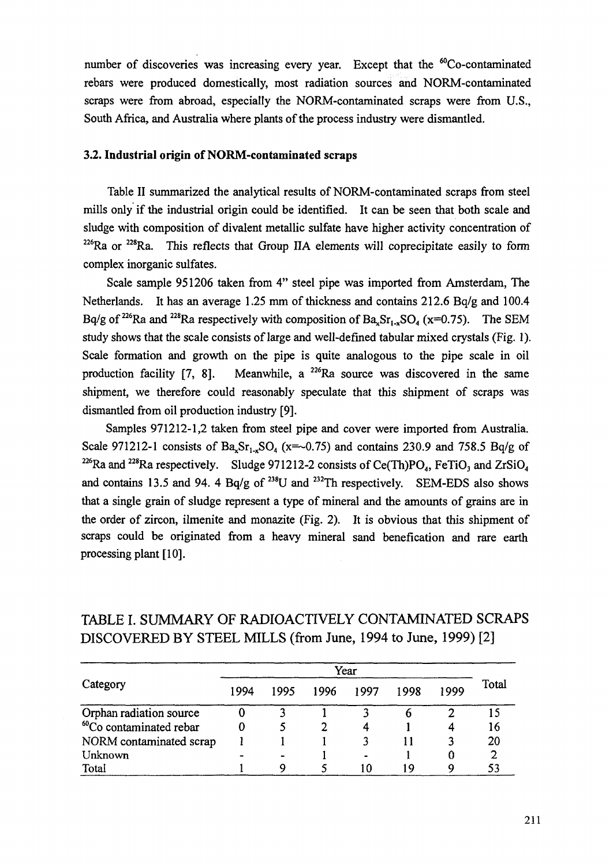number of discoveries was increasing every year. Except that the <sup>60</sup>Co-contaminated rebars were produced domestically, most radiation sources and NORM-contaminated scraps were from abroad, especially the NORM-contaminated scraps were from U.S., South Africa, and Australia where plants of the process industry were dismantled.

#### **3.2. Industrial origin of NORM-contaminated scraps**

Table II summarized the analytical results of NORM-contaminated scraps from steel mills only if the industrial origin could be identified. It can be seen that both scale and sludge with composition of divalent metallic sulfate have higher activity concentration of  $226$ Ra or  $228$ Ra. This reflects that Group IIA elements will coprecipitate easily to form complex inorganic sulfates.

Scale sample 951206 taken from 4" steel pipe was imported from Amsterdam, The Netherlands. It has an average 1.25 mm of thickness and contains 212.6 Bq/g and 100.4 Bq/g of <sup>226</sup>Ra and <sup>228</sup>Ra respectively with composition of Ba<sub>x</sub>Sr<sub>1-x</sub>SO<sub>4</sub> (x=0.75). The SEM study shows that the scale consists of large and well-defined tabular mixed crystals (Fig. 1). Scale formation and growth on the pipe is quite analogous to the pipe scale in oil production facility  $[7, 8]$ . Meanwhile, a <sup>226</sup>Ra source was discovered in the same shipment, we therefore could reasonably speculate that this shipment of scraps was dismantled from oil production industry [9].

Samples 971212-1,2 taken from steel pipe and cover were imported from Australia. Scale 971212-1 consists of Ba<sub>x</sub>Sr<sub>1</sub>, SO<sub>4</sub> (x=~0.75) and contains 230.9 and 758.5 Bq/g of <sup>226</sup>Ra and <sup>228</sup>Ra respectively. Sludge 971212-2 consists of Ce(Th)PO<sub>4</sub>, FeTiO<sub>3</sub> and ZrSiO<sub>4</sub> and contains 13.5 and 94. 4 Bq/g of  $^{238}$ U and  $^{232}$ Th respectively. SEM-EDS also shows that a single grain of sludge represent a type of mineral and the amounts of grains are in the order of zircon, ilmenite and monazite (Fig. 2). It is obvious that this shipment of scraps could be originated from a heavy mineral sand benefication and rare earth processing plant [10].

|                                     | Year |      |      |      |      |      |       |
|-------------------------------------|------|------|------|------|------|------|-------|
| Category                            | 1994 | 1995 | 1996 | 1997 | 1998 | 1999 | Total |
| Orphan radiation source             |      |      |      |      |      |      |       |
| <sup>60</sup> Co contaminated rebar |      |      |      |      |      |      | 16    |
| NORM contaminated scrap             |      |      |      |      |      |      | 20    |
| Unknown                             |      |      |      |      |      |      |       |
| Total                               |      | Ο    |      | -0   | ۱٥   | Q    |       |

# TABLE I. SUMMARY OF RADIOACTIVELY CONTAMINATED SCRAPS DISCOVERED BY STEEL MILLS (from June, 1994 to June, 1999) [2]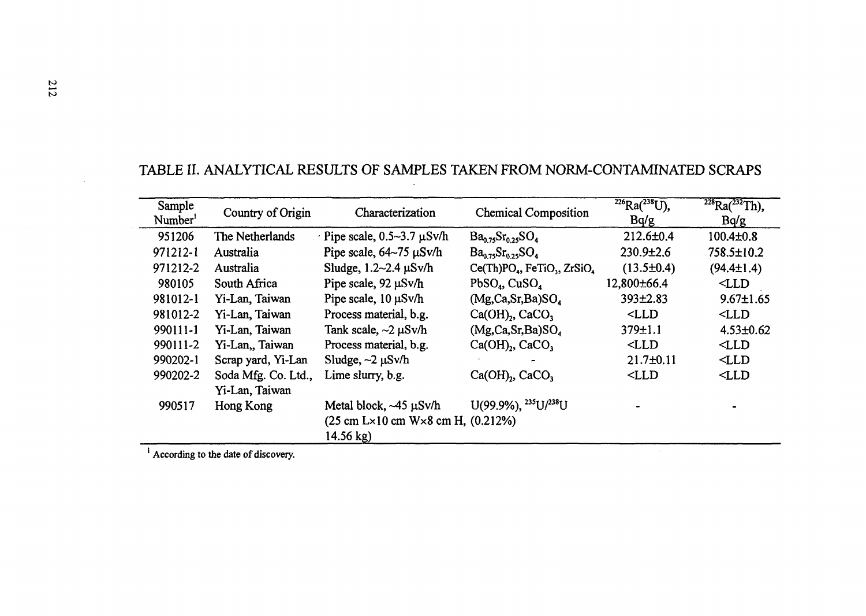| Sample<br>Number <sup>1</sup> | Country of Origin                     | Characterization                                                                                                         | <b>Chemical Composition</b>                            | $^{226}Ra(^{238}U),$<br>Bq/g | $\sqrt[228]{228}Ra^{232}Th$ ,<br>Bq/g |
|-------------------------------|---------------------------------------|--------------------------------------------------------------------------------------------------------------------------|--------------------------------------------------------|------------------------------|---------------------------------------|
| 951206                        | The Netherlands                       | $\cdot$ Pipe scale, 0.5~3.7 $\mu$ Sv/h                                                                                   | $Ba_{0.75}Sr_{0.25}SO_4$                               | $212.6 \pm 0.4$              | $100.4 \pm 0.8$                       |
| 971212-1                      | Australia                             | Pipe scale, $64-75 \mu Sv/h$                                                                                             | $Ba0.75Sr0.25SO4$                                      | $230.9{\pm}2.6$              | $758.5 \pm 10.2$                      |
| 971212-2                      | Australia                             | Sludge, $1.2 \sim 2.4 \mu$ Sv/h                                                                                          | $Ce(Th)PO_4$ , FeTiO <sub>3</sub> , ZrSiO <sub>4</sub> | $(13.5 \pm 0.4)$             | $(94.4 \pm 1.4)$                      |
| 980105                        | South Africa                          | Pipe scale, 92 µSv/h                                                                                                     | $PbSO_4$ , CuSO <sub>4</sub>                           | 12,800±66.4                  | $<$ LLD                               |
| 981012-1                      | Yi-Lan, Taiwan                        | Pipe scale, 10 µSv/h                                                                                                     | (Mg,Ca,Sr,Ba)SO <sub>a</sub>                           | $393 \pm 2.83$               | $9.67 \pm 1.65$                       |
| 981012-2                      | Yi-Lan, Taiwan                        | Process material, b.g.                                                                                                   | $Ca(OH)$ , CaCO <sub>3</sub>                           | $<$ LLD                      | $<$ LLD                               |
| 990111-1                      | Yi-Lan, Taiwan                        | Tank scale, $\sim$ 2 $\mu$ Sv/h                                                                                          | (Mg, Ca, Sr, Ba)SO <sub>a</sub>                        | 379±1.1                      | $4.53 \pm 0.62$                       |
| 990111-2                      | Yi-Lan, Taiwan                        | Process material, b.g.                                                                                                   | $Ca(OH)$ , CaCO,                                       | $<$ LLD                      | $<$ LLD                               |
| 990202-1                      | Scrap yard, Yi-Lan                    | Sludge, $\sim$ 2 $\mu$ Sv/h                                                                                              |                                                        | $21.7 \pm 0.11$              | $<$ LLD                               |
| 990202-2                      | Soda Mfg. Co. Ltd.,<br>Yi-Lan, Taiwan | Lime slurry, b.g.                                                                                                        | $Ca(OH)$ , CaCO,                                       | $<$ LLD                      | $<$ LLD                               |
| 990517                        | Hong Kong                             | Metal block, $-45 \mu Sv/h$<br>$(25 \text{ cm L} \times 10 \text{ cm W} \times 8 \text{ cm H}, (0.212\%)$<br>$14.56$ kg) | U(99.9%), $^{235}U/^{238}U$                            |                              |                                       |

 $\sim$ 

# TABLE II. ANALYTICAL RESULTS OF SAMPLES TAKEN FROM NORM-CONTAMINATED SCRAPS

<sup>1</sup> According to the date of discovery.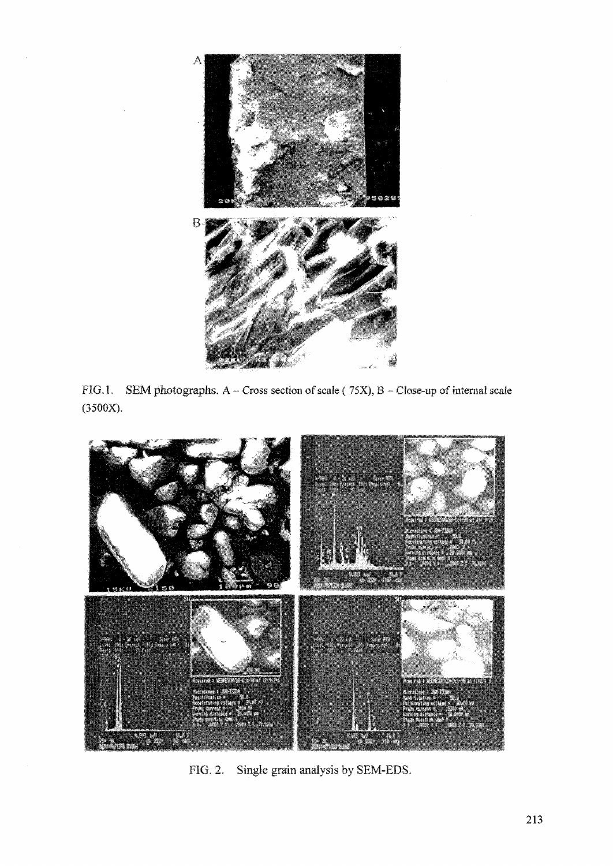

FIG.1. SEM photographs. A - Cross section of scale (75X), B - Close-up of internal scale (3500X).



FIG. 2. Single grain analysis by SEM-EDS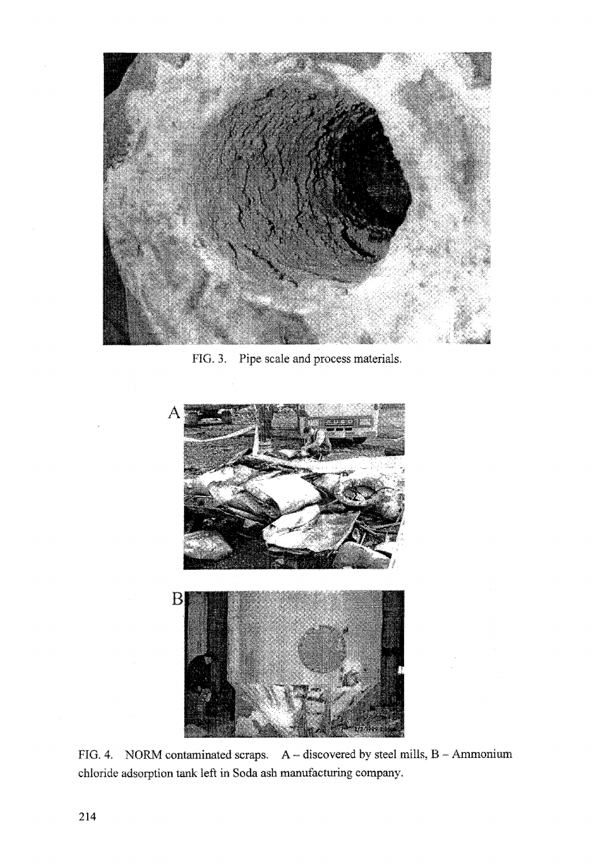

FIG. 3. Pipe scale and process materials.



FIG. 4. NORM contaminated scraps.  $A -$  discovered by steel mills,  $B -$  Ammonium chloride adsorption tank left in Soda ash manufacturing company.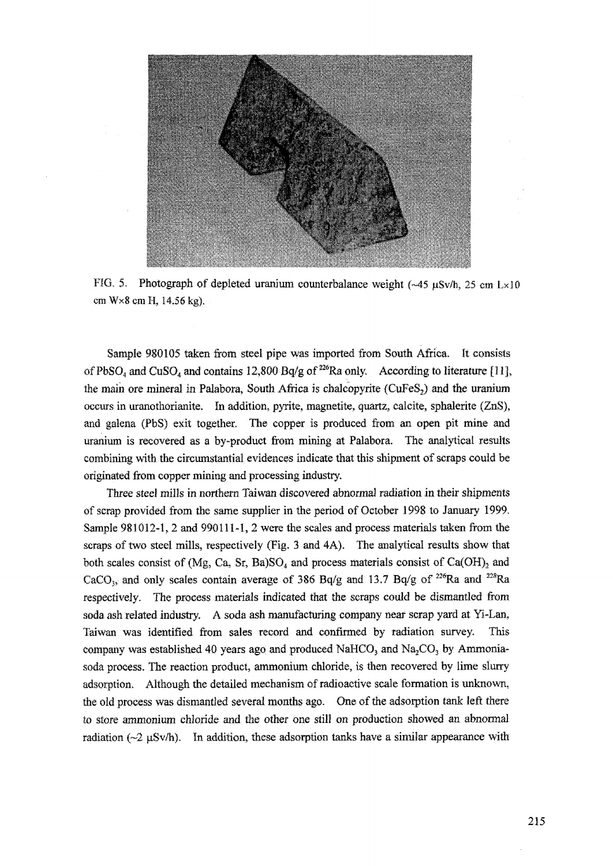

FIG. 5. Photograph of depleted uranium counterbalance weight  $(-45 \text{ }\mu\text{Sv/h}, 25 \text{ cm L} \times 10$ em WxScraH, 14.56 kg).

Sample 980105 taken from steel pipe was imported from South Africa. It consists of PbSO<sub>4</sub> and CuSO<sub>4</sub> and contains 12,800 Bq/g of <sup>226</sup>Ra only. According to literature [11], the main ore mineral in Palabora, South Africa is chalcopyrite (CuFeS<sub>2</sub>) and the uranium occurs in uranothorianite. In addition, pyrite, magnetite, quartz, calcite, sphalerite (ZnS), and galena (PbS) exit together. The copper is produced from an open pit mine and uranium is recovered as a by-product from mining at Palabora. The analytical results combining with the circumstantial evidences indicate that this shipment of scraps could be originated from copper mining and processing industry.

Three steel *mills* in northern Taiwan discovered abnormal radiation in their shipments of scrap provided from the same supplier in the period of October 1998 to January 1999. Sample 981012-1, 2 and 990111-1, 2 were the scales and process materials taken from the scraps of two steel mills, respectively (Fig. 3 and 4A). The analytical results show that both scales consist of (Mg, Ca, Sr, Ba)SO<sub>4</sub> and process materials consist of Ca(OH)<sub>2</sub> and CaCO<sub>3</sub>, and only scales contain average of 386 Bq/g and 13.7 Bq/g of <sup>226</sup>Ra and <sup>228</sup>Ra respectively. The process materials indicated that the scraps could be dismantled from soda ash related industry. A soda ash manufacturing company near scrap yard at Yi-Lan, Taiwan was identified from sales record and confirmed by radiation survey. This company was established 40 years ago and produced NaHCO<sub>3</sub> and Na<sub>2</sub>CO<sub>3</sub> by Ammoniasoda process. The reaction product, ammonium chloride, is then recovered by lime slurry adsorption. Although the detailed mechanism of radioactive scale formation is unknown, the old process was dismantled several months ago. One of the adsorption tank left there to store ammonium chloride and the other one still on production showed an abnormal radiation  $(\sim 2 \mu Sv/h)$ . In addition, these adsorption tanks have a similar appearance with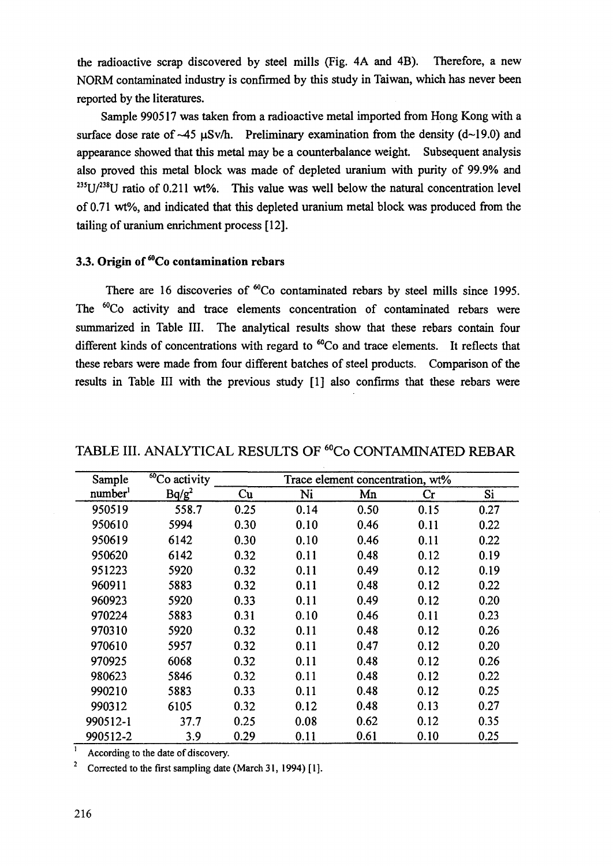the radioactive scrap discovered by steel mills (Fig. 4A and 4B). Therefore, a new NORM contaminated industry is confirmed by this study in Taiwan, which has never been reported by the literatures.

Sample 990517 was taken from a radioactive metal imported from Hong Kong with a surface dose rate of  $-45 \text{ }\mu\text{Sv/h}$ . Preliminary examination from the density (d $\sim$ 19.0) and appearance showed that this metal may be a counterbalance weight. Subsequent analysis also proved this metal block was made of depleted uranium with purity of 99.9% and  $235$ U/ $238$ U ratio of 0.211 wt%. This value was well below the natural concentration level of 0.71 wt%, and indicated that this depleted uranium metal block was produced from the tailing of uranium enrichment process [12].

## **3.3. Origin of <sup>60</sup>Co contamination rebars**

There are 16 discoveries of  ${}^{60}Co$  contaminated rebars by steel mills since 1995. The <sup>60</sup>Co activity and trace elements concentration of contaminated rebars were summarized in Table III. The analytical results show that these rebars contain four different kinds of concentrations with regard to <sup>60</sup>Co and trace elements. It reflects that these rebars were made from four different batches of steel products. Comparison of the results in Table III with the previous study [1] also confirms that these rebars were

| Sample              | $\overline{^{60}}$ Co activity | Trace element concentration, wt% |      |      |                |      |
|---------------------|--------------------------------|----------------------------------|------|------|----------------|------|
| number <sup>1</sup> | $Bq/g^2$                       | Cu                               | Ni   | Mn   | $\mathbf{C}$ r | Si   |
| 950519              | 558.7                          | 0.25                             | 0.14 | 0.50 | 0.15           | 0.27 |
| 950610              | 5994                           | 0.30                             | 0.10 | 0.46 | 0.11           | 0.22 |
| 950619              | 6142                           | 0.30                             | 0.10 | 0.46 | 0.11           | 0.22 |
| 950620              | 6142                           | 0.32                             | 0.11 | 0.48 | 0.12           | 0.19 |
| 951223              | 5920                           | 0.32                             | 0.11 | 0.49 | 0.12           | 0.19 |
| 960911              | 5883                           | 0.32                             | 0.11 | 0.48 | 0.12           | 0.22 |
| 960923              | 5920                           | 0.33                             | 0.11 | 0.49 | 0.12           | 0.20 |
| 970224              | 5883                           | 0.31                             | 0.10 | 0.46 | 0.11           | 0.23 |
| 970310              | 5920                           | 0.32                             | 0.11 | 0.48 | 0.12           | 0.26 |
| 970610              | 5957                           | 0.32                             | 0.11 | 0.47 | 0.12           | 0.20 |
| 970925              | 6068                           | 0.32                             | 0.11 | 0.48 | 0.12           | 0.26 |
| 980623              | 5846                           | 0.32                             | 0.11 | 0.48 | 0.12           | 0.22 |
| 990210              | 5883                           | 0.33                             | 0.11 | 0.48 | 0.12           | 0.25 |
| 990312              | 6105                           | 0.32                             | 0.12 | 0.48 | 0.13           | 0.27 |
| 990512-1            | 37.7                           | 0.25                             | 0.08 | 0.62 | 0.12           | 0.35 |
| 990512-2            | 3.9                            | 0.29                             | 0.11 | 0.61 | 0.10           | 0.25 |

## TABLE III. ANALYTICAL RESULTS OF <sup>60</sup>Co CONTAMINATED REBAR

**<sup>I</sup>** According to the date of discovery.

2 Corrected to the first sampling date (March 31, 1994) [1].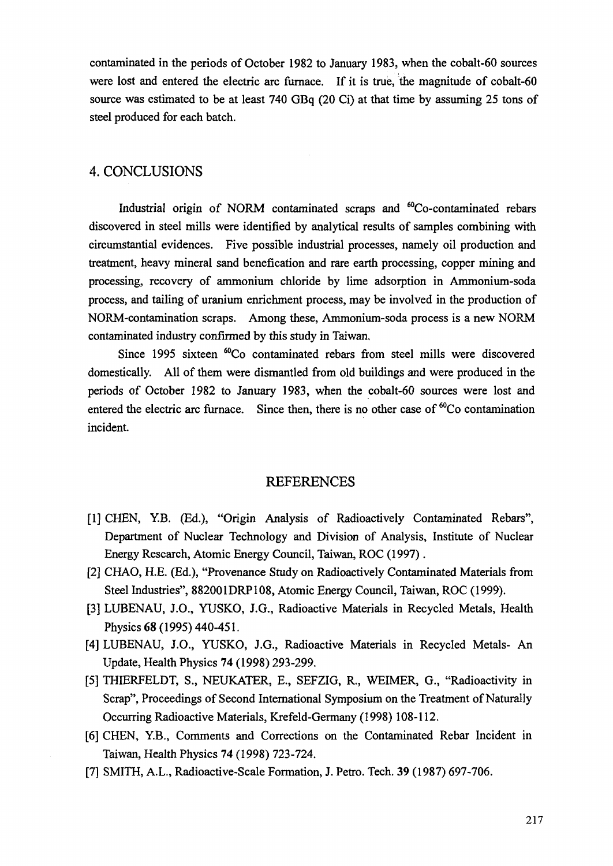contaminated in the periods of October 1982 to January 1983, when the cobalt-60 sources were lost and entered the electric arc furnace. If it is true, the magnitude of cobalt-60 source was estimated to be at least 740 GBq (20 Ci) at that time by assuming 25 tons of steel produced for each batch.

## 4. CONCLUSIONS

Industrial origin of NORM contaminated scraps and  ${}^{60}Co$ -contaminated rebars discovered in steel mills were identified by analytical results of samples combining with circumstantial evidences. Five possible industrial processes, namely oil production and treatment, heavy mineral sand benefication and rare earth processing, copper mining and processing, recovery of ammonium chloride by lime adsorption in Ammonium-soda process, and tailing of uranium enrichment process, may be involved in the production of NORM-contamination scraps. Among these, Ammonium-soda process is a new NORM contaminated industry confirmed by this study in Taiwan.

Since 1995 sixteen <sup>60</sup>Co contaminated rebars from steel mills were discovered domestically. All of them were dismantled from old buildings and were produced in the periods of October 1982 to January 1983, when the cobalt-60 sources were lost and entered the electric arc furnace. Since then, there is no other case of <sup>60</sup>Co contamination incident.

#### **REFERENCES**

- [1] CHEN, Y.B. (Ed.), "Origin Analysis of Radioactively Contaminated Rebars", Department of Nuclear Technology and Division of Analysis, Institute of Nuclear Energy Research, Atomic Energy Council, Taiwan, ROC (1997).
- [2] CHAO, H.E. (Ed.), "Provenance Study on Radioactively Contaminated Materials from Steel Industries", 882001DRP108, Atomic Energy Council, Taiwan, ROC (1999).
- [3] LUBENAU, J.O., YUSKO, J.G., Radioactive Materials in Recycled Metals, Health Physics 68 (1995) 440-451.
- [4] LUBENAU, J.O., YUSKO, J.G., Radioactive Materials in Recycled Metals- An Update, Health Physics 74 (1998) 293-299.
- [5] THIERFELDT, S., NEUKATER, E., SEFZIG, R., WEIMER, G., "Radioactivity in Scrap", Proceedings of Second International Symposium on the Treatment of Naturally Occurring Radioactive Materials, Krefeld-Germany (1998) 108-112.
- [6] CHEN, Y.B., Comments and Corrections on the Contaminated Rebar Incident in Taiwan, Health Physics 74 (1998) 723-724.
- [7] SMITH, A.L., Radioactive-Scale Formation, J. Petro. Tech. 39 (1987) 697-706.